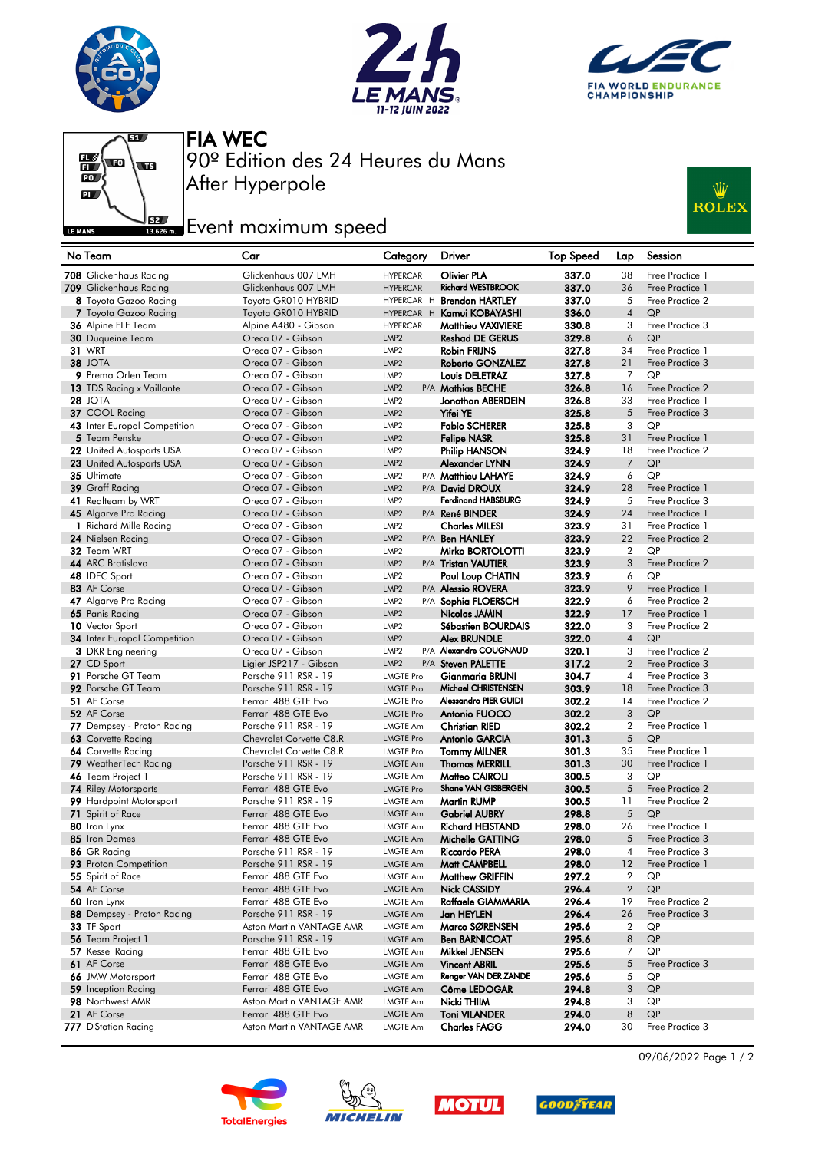







After Hyperpole 90º Edition des 24 Heures du Mans FIA WEC

## **Example 2**<br>**Example 2** Event maximum speed



| No Team                                         | Car                                             | Category                             | <b>Driver</b>                                  | <b>Top Speed</b> | Lap                      | Session                            |
|-------------------------------------------------|-------------------------------------------------|--------------------------------------|------------------------------------------------|------------------|--------------------------|------------------------------------|
| 708 Glickenhaus Racing                          | Glickenhaus 007 LMH                             | <b>HYPERCAR</b>                      | <b>Olivier PLA</b>                             | 337.0            | 38                       | Free Practice 1                    |
| 709 Glickenhaus Racing                          | Glickenhaus 007 LMH                             | <b>HYPERCAR</b>                      | <b>Richard WESTBROOK</b>                       | 337.0            | 36                       | Free Practice 1                    |
| 8 Toyota Gazoo Racing                           | Toyota GR010 HYBRID                             |                                      | HYPERCAR H Brendon HARTLEY                     | 337.0            | 5                        | Free Practice 2                    |
| 7 Toyota Gazoo Racing                           | Toyota GR010 HYBRID                             |                                      | HYPERCAR H Kamui KOBAYASHI                     | 336.0            | $\overline{4}$           | QP                                 |
| 36 Alpine ELF Team                              | Alpine A480 - Gibson                            | <b>HYPERCAR</b>                      | <b>Matthieu VAXIVIERE</b>                      | 330.8            | 3                        | Free Practice 3                    |
| <b>30</b> Duqueine Team                         | Oreca 07 - Gibson                               | LMP <sub>2</sub>                     | <b>Reshad DE GERUS</b>                         | 329.8            | 6                        | QP                                 |
| <b>31 WRT</b>                                   | Oreca 07 - Gibson                               | LMP <sub>2</sub>                     | <b>Robin FRIJNS</b>                            | 327.8            | 34                       | Free Practice 1                    |
| 38 JOTA                                         | Oreca 07 - Gibson                               | LMP <sub>2</sub>                     | <b>Roberto GONZALEZ</b>                        | 327.8            | 21                       | Free Practice 3                    |
| 9 Prema Orlen Team                              | Oreca 07 - Gibson                               | LMP <sub>2</sub>                     | Louis DELETRAZ                                 | 327.8            | 7                        | QP                                 |
| 13 TDS Racing x Vaillante                       | Oreca 07 - Gibson                               | LMP <sub>2</sub>                     | P/A Mathias BECHE                              | 326.8            | 16                       | Free Practice 2                    |
| <b>28 JOTA</b>                                  | Oreca 07 - Gibson                               | LMP <sub>2</sub>                     | Jonathan ABERDEIN                              | 326.8            | 33                       | Free Practice 1                    |
| 37 COOL Racing                                  | Oreca 07 - Gibson                               | LMP <sub>2</sub>                     | Yifei YE                                       | 325.8            | 5                        | Free Practice 3                    |
| 43 Inter Europol Competition                    | Oreca 07 - Gibson                               | LMP <sub>2</sub>                     | <b>Fabio SCHERER</b>                           | 325.8            | 3                        | QP                                 |
| 5 Team Penske                                   | Oreca 07 - Gibson                               | LMP <sub>2</sub>                     | <b>Felipe NASR</b>                             | 325.8            | 31                       | Free Practice 1                    |
| 22 United Autosports USA                        | Oreca 07 - Gibson                               | LMP <sub>2</sub>                     | Philip HANSON                                  | 324.9            | 18                       | Free Practice 2                    |
| 23 United Autosports USA                        | Oreca 07 - Gibson                               | LMP <sub>2</sub>                     | Alexander LYNN                                 | 324.9            | $\overline{7}$           | QP                                 |
| 35 Ultimate                                     | Oreca 07 - Gibson                               | LMP <sub>2</sub>                     | P/A Matthieu LAHAYE                            | 324.9            | 6                        | QP                                 |
| 39 Graff Racing                                 | Oreca 07 - Gibson                               | LMP <sub>2</sub>                     | P/A David DROUX                                | 324.9            | 28                       | Free Practice 1                    |
| 41 Realteam by WRT                              | Oreca 07 - Gibson                               | LMP <sub>2</sub>                     | <b>Ferdinand HABSBURG</b>                      | 324.9            | 5                        | Free Practice 3                    |
| 45 Algarve Pro Racing<br>1 Richard Mille Racing | Oreca 07 - Gibson                               | LMP <sub>2</sub>                     | P/A René BINDER                                | 324.9            | 24                       | Free Practice 1                    |
|                                                 | Oreca 07 - Gibson<br>Oreca 07 - Gibson          | LMP <sub>2</sub><br>LMP <sub>2</sub> | <b>Charles MILESI</b><br>P/A Ben HANLEY        | 323.9            | 31<br>22                 | Free Practice 1<br>Free Practice 2 |
| 24 Nielsen Racing<br>32 Team WRT                | Oreca 07 - Gibson                               |                                      |                                                | 323.9            | $\overline{2}$           | QP                                 |
| 44 ARC Bratislava                               | Oreca 07 - Gibson                               | LMP <sub>2</sub><br>LMP <sub>2</sub> | Mirko BORTOLOTTI                               | 323.9<br>323.9   | 3                        | Free Practice 2                    |
| 48 IDEC Sport                                   | Oreca 07 - Gibson                               | LMP <sub>2</sub>                     | P/A Tristan VAUTIER<br><b>Paul Loup CHATIN</b> | 323.9            | 6                        | QP                                 |
| 83 AF Corse                                     | Oreca 07 - Gibson                               | LMP <sub>2</sub>                     | P/A <b>Alessio ROVERA</b>                      | 323.9            | 9                        | Free Practice 1                    |
| 47 Algarve Pro Racing                           | Oreca 07 - Gibson                               | LMP <sub>2</sub>                     | P/A Sophia FLOERSCH                            | 322.9            | 6                        | Free Practice 2                    |
| 65 Panis Racing                                 | Oreca 07 - Gibson                               | LMP <sub>2</sub>                     | Nicolas JAMIN                                  | 322.9            | 17                       | Free Practice 1                    |
| 10 Vector Sport                                 | Oreca 07 - Gibson                               | LMP <sub>2</sub>                     | Sébastien BOURDAIS                             | 322.0            | 3                        | Free Practice 2                    |
| <b>34</b> Inter Europol Competition             | Oreca 07 - Gibson                               | LMP <sub>2</sub>                     | <b>Alex BRUNDLE</b>                            | 322.0            | $\overline{4}$           | QP                                 |
| <b>3</b> DKR Engineering                        | Oreca 07 - Gibson                               | LMP <sub>2</sub>                     | P/A Alexandre COUGNAUD                         | 320.1            | 3                        | Free Practice 2                    |
| 27 CD Sport                                     | Ligier JSP217 - Gibson                          | LMP <sub>2</sub>                     | P/A Steven PALETTE                             | 317.2            | $\overline{2}$           | Free Practice 3                    |
| 91 Porsche GT Team                              | Porsche 911 RSR - 19                            | <b>LMGTE Pro</b>                     | Gianmaria BRUNI                                | 304.7            | $\overline{\mathcal{A}}$ | Free Practice 3                    |
| 92 Porsche GT Team                              | Porsche 911 RSR - 19                            | <b>LMGTE Pro</b>                     | Michael CHRISTENSEN                            | 303.9            | 18                       | Free Practice 3                    |
| 51 AF Corse                                     | Ferrari 488 GTE Evo                             | <b>LMGTE Pro</b>                     | Alessandro PIER GUIDI                          | 302.2            | 14                       | Free Practice 2                    |
| 52 AF Corse                                     | Ferrari 488 GTE Evo                             | <b>LMGTE Pro</b>                     | Antonio FUOCO                                  | 302.2            | 3                        | QP                                 |
| 77 Dempsey - Proton Racing                      | Porsche 911 RSR - 19                            | <b>LMGTE Am</b>                      | <b>Christian RIED</b>                          | 302.2            | $\overline{2}$           | Free Practice 1                    |
| 63 Corvette Racing                              | Chevrolet Corvette C8.R                         | <b>LMGTE Pro</b>                     | <b>Antonio GARCIA</b>                          | 301.3            | 5                        | QP                                 |
| 64 Corvette Racing                              | Chevrolet Corvette C8.R                         | <b>LMGTE Pro</b>                     | <b>Tommy MILNER</b>                            | 301.3            | 35                       | Free Practice 1                    |
| 79 WeatherTech Racing                           | Porsche 911 RSR - 19                            | <b>LMGTE Am</b>                      | <b>Thomas MERRILL</b>                          | 301.3            | 30                       | Free Practice 1                    |
| 46 Team Project 1                               | Porsche 911 RSR - 19                            | <b>LMGTE Am</b>                      | <b>Matteo CAIROLI</b>                          | 300.5            | 3                        | QP                                 |
| <b>74</b> Riley Motorsports                     | Ferrari 488 GTE Evo                             | <b>LMGTE Pro</b>                     | Shane VAN GISBERGEN                            | 300.5            | 5                        | Free Practice 2                    |
| 99 Hardpoint Motorsport                         | Porsche 911 RSR - 19                            | LMGTE Am                             | <b>Martin RUMP</b>                             | 300.5            | 11                       | Free Practice 2                    |
| 71 Spirit of Race                               | Ferrari 488 GTE Evo                             | <b>LMGTE Am</b>                      | <b>Gabriel AUBRY</b>                           | 298.8            | 5                        | QP                                 |
| 80 Iron Lynx                                    | Ferrari 488 GTE Evo                             | <b>LMGTE Am</b>                      | <b>Richard HEISTAND</b>                        | 298.0            | 26                       | Free Practice 1                    |
| 85 Iron Dames                                   | Ferrari 488 GTE Evo                             | <b>LMGTE Am</b>                      | Michelle GATTING                               | 298.0            | 5                        | Free Practice 3                    |
| 86 GR Racing                                    | Porsche 911 RSR - 19                            | <b>LMGTE Am</b>                      | Riccardo PERA                                  | 298.0            | 4                        | Free Practice 3                    |
| 93 Proton Competition                           | Porsche 911 RSR - 19                            | <b>LMGTE Am</b>                      | Matt CAMPBELL                                  | 298.0            | 12                       | Free Practice 1                    |
| 55 Spirit of Race                               | Ferrari 488 GTE Evo                             | <b>LMGTE Am</b>                      | Matthew GRIFFIN                                | 297.2            | $\overline{2}$           | QP                                 |
| 54 AF Corse                                     | Ferrari 488 GTE Evo                             | <b>LMGTE Am</b>                      | <b>Nick CASSIDY</b>                            | 296.4            | $\overline{2}$           | QP                                 |
| 60 Iron Lynx                                    | Ferrari 488 GTE Evo                             | <b>LMGTE Am</b>                      | Raffaele GIAMMARIA                             | 296.4            | 19                       | Free Practice 2                    |
| 88 Dempsey - Proton Racing                      | Porsche 911 RSR - 19                            | <b>LMGTE Am</b>                      | Jan HEYLEN                                     | 296.4            | 26                       | Free Practice 3                    |
| 33 TF Sport                                     | Aston Martin VANTAGE AMR                        | <b>LMGTE Am</b>                      | Marco SØRENSEN                                 | 295.6            | $\overline{2}$           | QP                                 |
| 56 Team Project 1                               | Porsche 911 RSR - 19                            | <b>LMGTE Am</b>                      | <b>Ben BARNICOAT</b>                           | 295.6            | 8                        | QP                                 |
| 57 Kessel Racing                                | Ferrari 488 GTE Evo                             | <b>LMGTE Am</b>                      | Mikkel JENSEN                                  | 295.6            | 7                        | QP                                 |
| 61 AF Corse                                     | Ferrari 488 GTE Evo                             | <b>LMGTE Am</b>                      | <b>Vincent ABRIL</b><br>Renger VAN DER ZANDE   | 295.6            | 5                        | Free Practice 3                    |
| 66 JMW Motorsport                               | Ferrari 488 GTE Evo<br>Ferrari 488 GTE Evo      | <b>LMGTE Am</b>                      |                                                | 295.6            | 5<br>3                   | QP<br>QP                           |
| 59 Inception Racing                             |                                                 | <b>LMGTE Am</b>                      | Côme LEDOGAR                                   | 294.8            |                          |                                    |
| 98 Northwest AMR<br>21 AF Corse                 | Aston Martin VANTAGE AMR<br>Ferrari 488 GTE Evo | <b>LMGTE Am</b><br><b>LMGTE Am</b>   | Nicki THIIM<br><b>Toni VILANDER</b>            | 294.8<br>294.0   | 3<br>8                   | QP<br>QP                           |
| 777 D'Station Racing                            | Aston Martin VANTAGE AMR                        | <b>LMGTE Am</b>                      | <b>Charles FAGG</b>                            | 294.0            | 30                       | Free Practice 3                    |
|                                                 |                                                 |                                      |                                                |                  |                          |                                    |









09/06/2022 Page 1 / 2